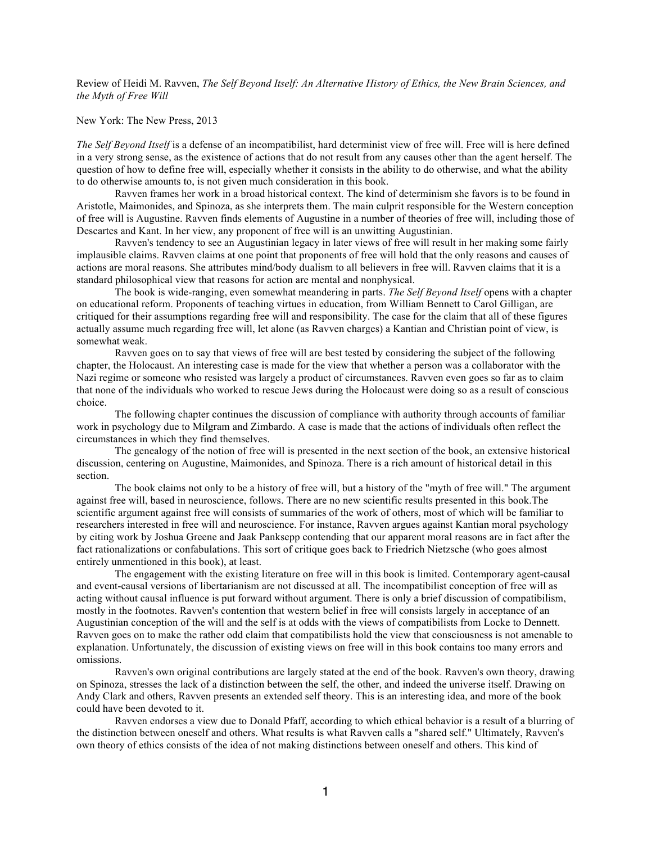Review of Heidi M. Ravven, *The Self Beyond Itself: An Alternative History of Ethics, the New Brain Sciences, and the Myth of Free Will*

## New York: The New Press, 2013

*The Self Beyond Itself* is a defense of an incompatibilist, hard determinist view of free will. Free will is here defined in a very strong sense, as the existence of actions that do not result from any causes other than the agent herself. The question of how to define free will, especially whether it consists in the ability to do otherwise, and what the ability to do otherwise amounts to, is not given much consideration in this book.

Ravven frames her work in a broad historical context. The kind of determinism she favors is to be found in Aristotle, Maimonides, and Spinoza, as she interprets them. The main culprit responsible for the Western conception of free will is Augustine. Ravven finds elements of Augustine in a number of theories of free will, including those of Descartes and Kant. In her view, any proponent of free will is an unwitting Augustinian.

Ravven's tendency to see an Augustinian legacy in later views of free will result in her making some fairly implausible claims. Ravven claims at one point that proponents of free will hold that the only reasons and causes of actions are moral reasons. She attributes mind/body dualism to all believers in free will. Ravven claims that it is a standard philosophical view that reasons for action are mental and nonphysical.

The book is wide-ranging, even somewhat meandering in parts. *The Self Beyond Itself* opens with a chapter on educational reform. Proponents of teaching virtues in education, from William Bennett to Carol Gilligan, are critiqued for their assumptions regarding free will and responsibility. The case for the claim that all of these figures actually assume much regarding free will, let alone (as Ravven charges) a Kantian and Christian point of view, is somewhat weak.

Ravven goes on to say that views of free will are best tested by considering the subject of the following chapter, the Holocaust. An interesting case is made for the view that whether a person was a collaborator with the Nazi regime or someone who resisted was largely a product of circumstances. Ravven even goes so far as to claim that none of the individuals who worked to rescue Jews during the Holocaust were doing so as a result of conscious choice.

The following chapter continues the discussion of compliance with authority through accounts of familiar work in psychology due to Milgram and Zimbardo. A case is made that the actions of individuals often reflect the circumstances in which they find themselves.

The genealogy of the notion of free will is presented in the next section of the book, an extensive historical discussion, centering on Augustine, Maimonides, and Spinoza. There is a rich amount of historical detail in this section.

The book claims not only to be a history of free will, but a history of the "myth of free will." The argument against free will, based in neuroscience, follows. There are no new scientific results presented in this book.The scientific argument against free will consists of summaries of the work of others, most of which will be familiar to researchers interested in free will and neuroscience. For instance, Ravven argues against Kantian moral psychology by citing work by Joshua Greene and Jaak Panksepp contending that our apparent moral reasons are in fact after the fact rationalizations or confabulations. This sort of critique goes back to Friedrich Nietzsche (who goes almost entirely unmentioned in this book), at least.

The engagement with the existing literature on free will in this book is limited. Contemporary agent-causal and event-causal versions of libertarianism are not discussed at all. The incompatibilist conception of free will as acting without causal influence is put forward without argument. There is only a brief discussion of compatibilism, mostly in the footnotes. Ravven's contention that western belief in free will consists largely in acceptance of an Augustinian conception of the will and the self is at odds with the views of compatibilists from Locke to Dennett. Ravven goes on to make the rather odd claim that compatibilists hold the view that consciousness is not amenable to explanation. Unfortunately, the discussion of existing views on free will in this book contains too many errors and omissions.

Ravven's own original contributions are largely stated at the end of the book. Ravven's own theory, drawing on Spinoza, stresses the lack of a distinction between the self, the other, and indeed the universe itself. Drawing on Andy Clark and others, Ravven presents an extended self theory. This is an interesting idea, and more of the book could have been devoted to it.

Ravven endorses a view due to Donald Pfaff, according to which ethical behavior is a result of a blurring of the distinction between oneself and others. What results is what Ravven calls a "shared self." Ultimately, Ravven's own theory of ethics consists of the idea of not making distinctions between oneself and others. This kind of